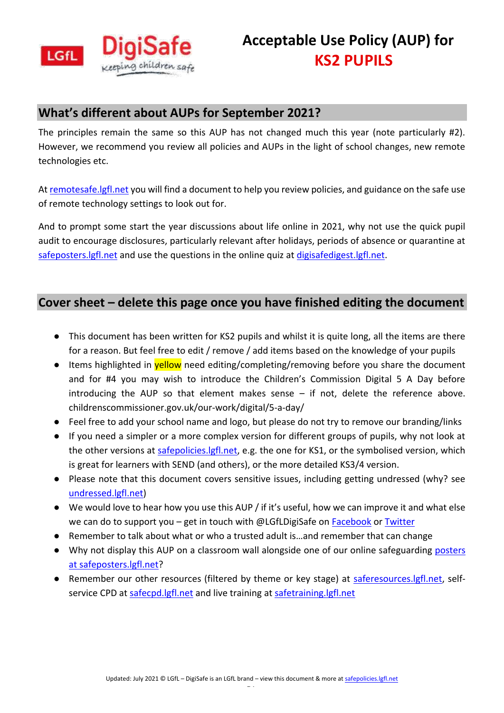

## **What's different about AUPs for September 2021?**

The principles remain the same so this AUP has not changed much this year (note particularly #2). However, we recommend you review all policies and AUPs in the light of school changes, new remote technologies etc.

A[t remotesafe.lgfl.net](https://national.lgfl.net/digisafe/safe-remote-learning) you will find a document to help you review policies, and guidance on the safe use of remote technology settings to look out for.

And to prompt some start the year discussions about life online in 2021, why not use the quick pupil audit to encourage disclosures, particularly relevant after holidays, periods of absence or quarantine at [safeposters.lgfl.net](https://www.lgfl.net/online-safety/resource-centre?s=33) and use the questions in the online quiz at [digisafedigest.lgfl.net.](https://digisafedigest.lgfl.net/)

## **Cover sheet – delete this page once you have finished editing the document**

- This document has been written for KS2 pupils and whilst it is quite long, all the items are there for a reason. But feel free to edit / remove / add items based on the knowledge of your pupils
- Items highlighted in **yellow** need editing/completing/removing before you share the document and for #4 you may wish to introduce the Children's Commission Digital 5 A Day before introducing the AUP so that element makes sense – if not, delete the reference above. childrenscommissioner.gov.uk/our-work/digital/5-a-day/
- Feel free to add your school name and logo, but please do not try to remove our branding/links
- If you need a simpler or a more complex version for different groups of pupils, why not look at the other versions at [safepolicies.lgfl.net,](https://safepolicies.lgfl.net/) e.g. the one for KS1, or the symbolised version, which is great for learners with SEND (and others), or the more detailed KS3/4 version.
- Please note that this document covers sensitive issues, including getting undressed (why? see [undressed.lgfl.net\)](https://undressed.lgfl.net/)
- We would love to hear how you use this AUP / if it's useful, how we can improve it and what else we can do to support you – get in touch with @LGfLDigiSafe on [Facebook](https://www.facebook.com/lgfldigisafe) o[r Twitter](https://twitter.com/LGfLDigiSafe)
- Remember to talk about what or who a trusted adult is…and remember that can change
- Why not display this AUP on a classroom wall alongside one of our online safeguarding [posters](https://posters.lgfl.net/) at [safeposters.lgfl.net?](https://safeposters.lgfl.net/)
- Remember our other resources (filtered by theme or key stage) at [saferesources.lgfl.net,](https://saferesources.lgfl.net/) selfservice CPD at [safecpd.lgfl.net](https://safecpd.lgfl.net/) and live training at [safetraining.lgfl.net](https://safetraining.lgfl.net/)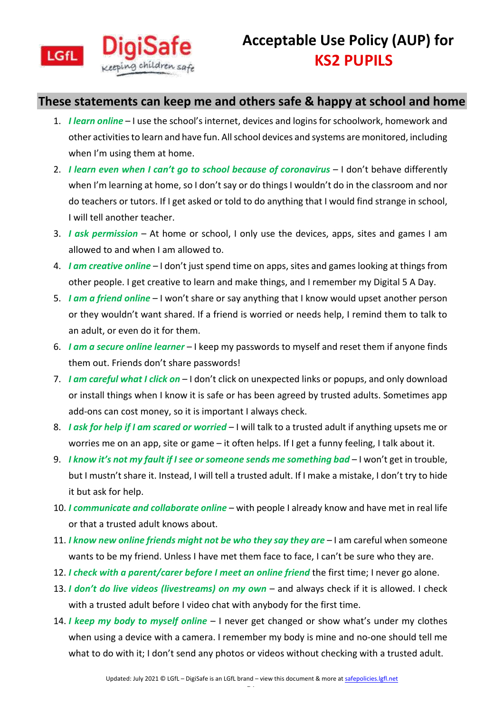

## **These statements can keep me and others safe & happy at school and home**

- 1. *I learn online*  I use the school's internet, devices and logins for schoolwork, homework and other activities to learn and have fun. All school devices and systems are monitored, including when I'm using them at home.
- 2. *I learn even when I can't go to school because of coronavirus* I don't behave differently when I'm learning at home, so I don't say or do things I wouldn't do in the classroom and nor do teachers or tutors. If I get asked or told to do anything that I would find strange in school, I will tell another teacher.
- 3. *I ask permission*  At home or school, I only use the devices, apps, sites and games I am allowed to and when I am allowed to.
- 4. *I am creative online* I don't just spend time on apps, sites and games looking at things from other people. I get creative to learn and make things, and I remember my Digital 5 A Day.
- 5. *I am a friend online*  I won't share or say anything that I know would upset another person or they wouldn't want shared. If a friend is worried or needs help, I remind them to talk to an adult, or even do it for them.
- 6. *I am a secure online learner* I keep my passwords to myself and reset them if anyone finds them out. Friends don't share passwords!
- 7. *I am careful what I click on*  I don't click on unexpected links or popups, and only download or install things when I know it is safe or has been agreed by trusted adults. Sometimes app add-ons can cost money, so it is important I always check.
- 8. *I ask for help if I am scared or worried*  I will talk to a trusted adult if anything upsets me or worries me on an app, site or game – it often helps. If I get a funny feeling, I talk about it.
- 9. *I know it's not my fault if I see or someone sends me something bad* I won't get in trouble, but I mustn't share it. Instead, I will tell a trusted adult. If I make a mistake, I don't try to hide it but ask for help.
- 10. *I communicate and collaborate online* with people I already know and have met in real life or that a trusted adult knows about.
- 11. *I know new online friends might not be who they say they are* I am careful when someone wants to be my friend. Unless I have met them face to face, I can't be sure who they are.
- 12. *I check with a parent/carer before I meet an online friend* the first time; I never go alone.
- 13. *I don't do live videos (livestreams) on my own*  and always check if it is allowed. I check with a trusted adult before I video chat with anybody for the first time.
- 14. *I keep my body to myself online*  I never get changed or show what's under my clothes when using a device with a camera. I remember my body is mine and no-one should tell me what to do with it; I don't send any photos or videos without checking with a trusted adult.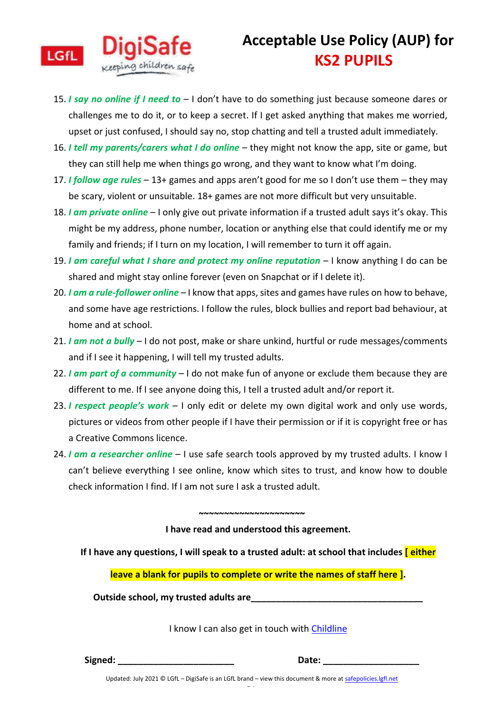

- 15. *I say no online if I need to*  I don't have to do something just because someone dares or challenges me to do it, or to keep a secret. If I get asked anything that makes me worried, upset or just confused, I should say no, stop chatting and tell a trusted adult immediately.
- 16. I tell my parents/carers what I do online they might not know the app, site or game, but they can still help me when things go wrong, and they want to know what I'm doing.
- 17. *I follow age rules*  13+ games and apps aren't good for me so I don't use them they may be scary, violent or unsuitable. 18+ games are not more difficult but very unsuitable.
- 18. *I am private online* I only give out private information if a trusted adult says it's okay. This might be my address, phone number, location or anything else that could identify me or my family and friends; if I turn on my location, I will remember to turn it off again.
- 19. *I am careful what I share and protect my online reputation* I know anything I do can be shared and might stay online forever (even on Snapchat or if I delete it).
- 20. *I am a rule-follower online* I know that apps, sites and games have rules on how to behave, and some have age restrictions. I follow the rules, block bullies and report bad behaviour, at home and at school.
- 21. *I am not a bully*  I do not post, make or share unkind, hurtful or rude messages/comments and if I see it happening, I will tell my trusted adults.
- 22. *I am part of a community*  I do not make fun of anyone or exclude them because they are different to me. If I see anyone doing this, I tell a trusted adult and/or report it.
- 23. *I respect people's work*  I only edit or delete my own digital work and only use words, pictures or videos from other people if I have their permission or if it is copyright free or has a Creative Commons licence.
- 24. *I am a researcher online* I use safe search tools approved by my trusted adults. I know I can't believe everything I see online, know which sites to trust, and know how to double check information I find. If I am not sure I ask a trusted adult.

**~~~~~~~~~~~~~~~~~~~~~**

**I have read and understood this agreement.**

**If I have any questions, I will speak to a trusted adult: at school that includes [ either** 

**leave a blank for pupils to complete or write the names of staff here ].**

**Outside school, my trusted adults are** 

I know I can also get in touch with [Childline](https://www.childline.org.uk/get-support/contacting-childline/)